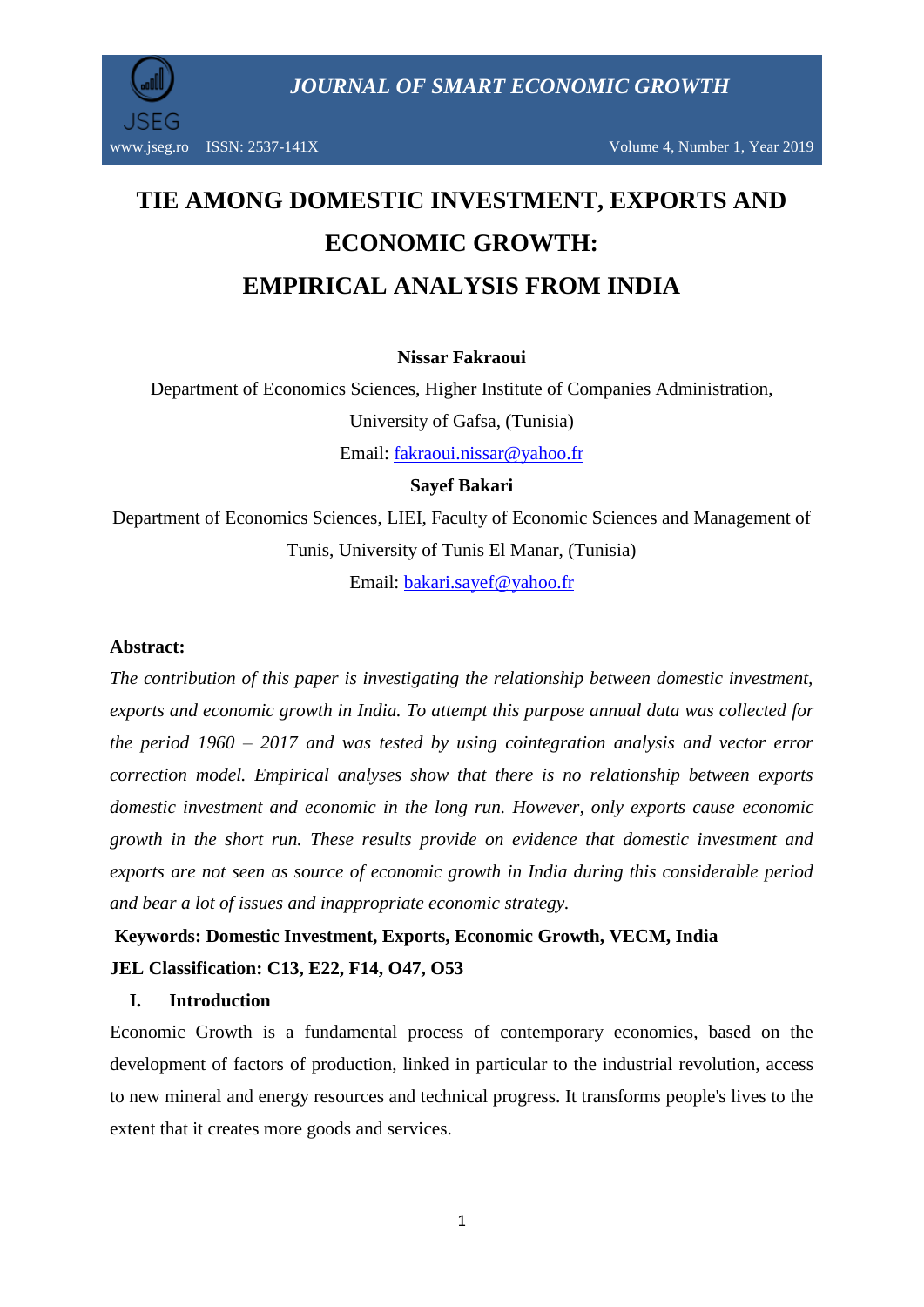

www.jseg.ro ISSN: 2537-141X Volume 4, Number 1, Year 2019

# **TIE AMONG DOMESTIC INVESTMENT, EXPORTS AND ECONOMIC GROWTH: EMPIRICAL ANALYSIS FROM INDIA**

# **Nissar Fakraoui**

Department of Economics Sciences, Higher Institute of Companies Administration, University of Gafsa, (Tunisia)

Email: [fakraoui.nissar@yahoo.fr](mailto:fakraoui.nissar@yahoo.fr)

# **Sayef Bakari**

Department of Economics Sciences, LIEI, Faculty of Economic Sciences and Management of Tunis, University of Tunis El Manar, (Tunisia)

Email: [bakari.sayef@yahoo.fr](mailto:bakari.sayef@yahoo.fr)

#### **Abstract:**

*The contribution of this paper is investigating the relationship between domestic investment, exports and economic growth in India. To attempt this purpose annual data was collected for the period 1960 – 2017 and was tested by using cointegration analysis and vector error correction model. Empirical analyses show that there is no relationship between exports domestic investment and economic in the long run. However, only exports cause economic growth in the short run. These results provide on evidence that domestic investment and exports are not seen as source of economic growth in India during this considerable period and bear a lot of issues and inappropriate economic strategy.*

# **Keywords: Domestic Investment, Exports, Economic Growth, VECM, India JEL Classification: C13, E22, F14, O47, O53**

#### **I. Introduction**

Economic Growth is a fundamental process of contemporary economies, based on the development of factors of production, linked in particular to the industrial revolution, access to new mineral and energy resources and technical progress. It transforms people's lives to the extent that it creates more goods and services.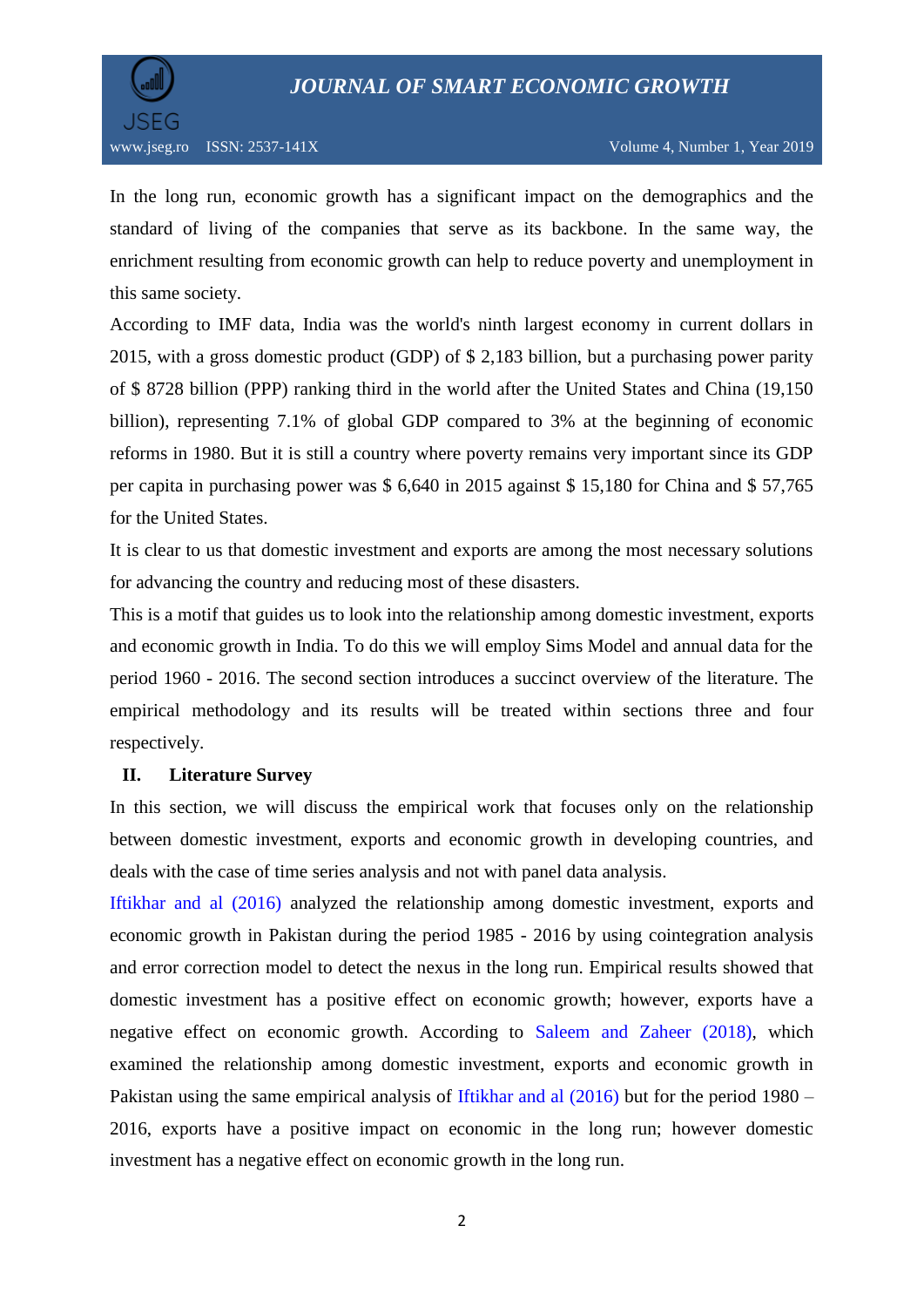

In the long run, economic growth has a significant impact on the demographics and the standard of living of the companies that serve as its backbone. In the same way, the enrichment resulting from economic growth can help to reduce poverty and unemployment in this same society.

According to IMF data, India was the world's ninth largest economy in current dollars in 2015, with a gross domestic product (GDP) of \$ 2,183 billion, but a purchasing power parity of \$ 8728 billion (PPP) ranking third in the world after the United States and China (19,150 billion), representing 7.1% of global GDP compared to 3% at the beginning of economic reforms in 1980. But it is still a country where poverty remains very important since its GDP per capita in purchasing power was \$ 6,640 in 2015 against \$ 15,180 for China and \$ 57,765 for the United States.

It is clear to us that domestic investment and exports are among the most necessary solutions for advancing the country and reducing most of these disasters.

This is a motif that guides us to look into the relationship among domestic investment, exports and economic growth in India. To do this we will employ Sims Model and annual data for the period 1960 - 2016. The second section introduces a succinct overview of the literature. The empirical methodology and its results will be treated within sections three and four respectively.

#### **II. Literature Survey**

In this section, we will discuss the empirical work that focuses only on the relationship between domestic investment, exports and economic growth in developing countries, and deals with the case of time series analysis and not with panel data analysis.

Iftikhar and al (2016) analyzed the relationship among domestic investment, exports and economic growth in Pakistan during the period 1985 - 2016 by using cointegration analysis and error correction model to detect the nexus in the long run. Empirical results showed that domestic investment has a positive effect on economic growth; however, exports have a negative effect on economic growth. According to Saleem and Zaheer (2018), which examined the relationship among domestic investment, exports and economic growth in Pakistan using the same empirical analysis of Iftikhar and al (2016) but for the period 1980 – 2016, exports have a positive impact on economic in the long run; however domestic investment has a negative effect on economic growth in the long run.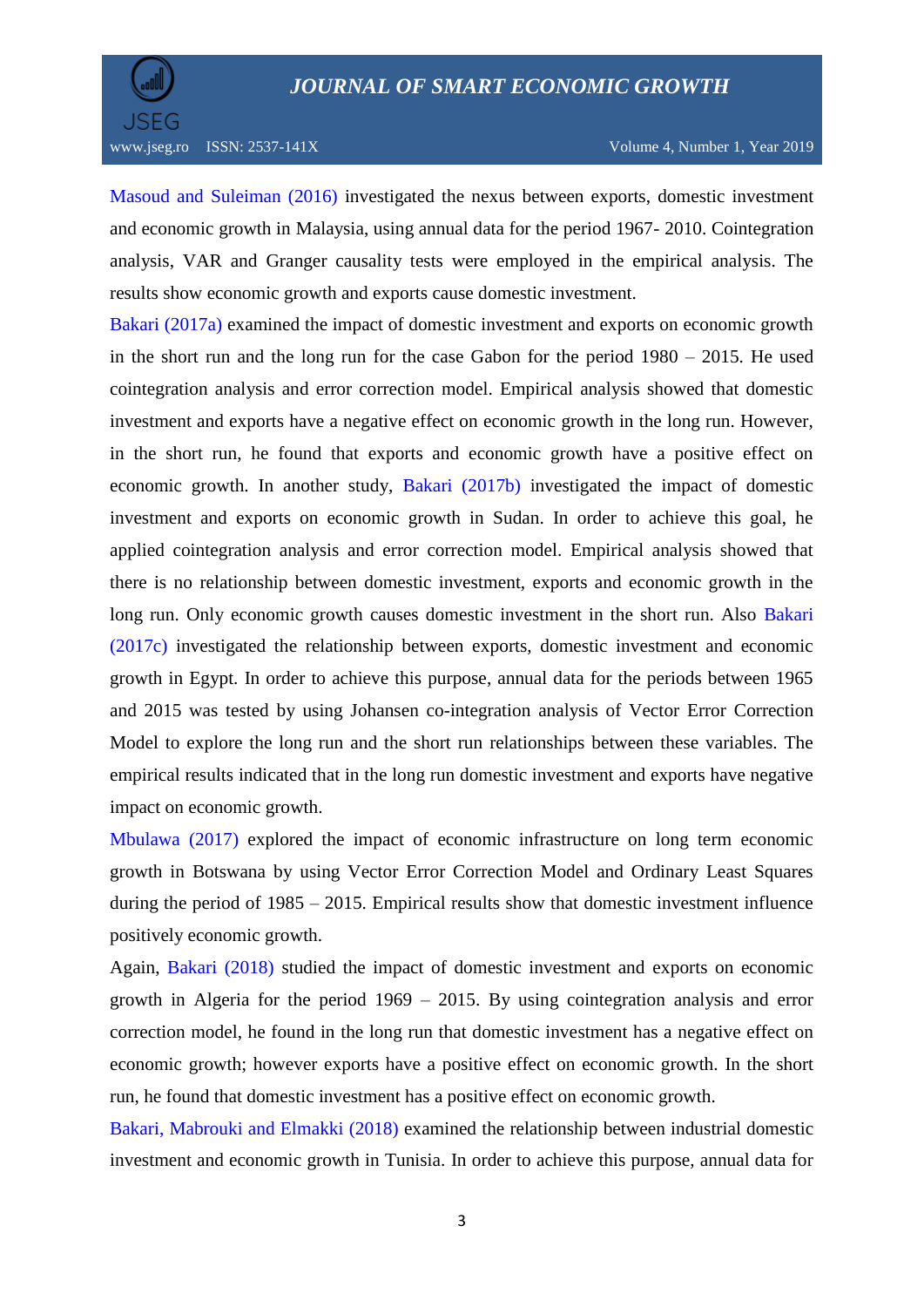

Masoud and Suleiman (2016) investigated the nexus between exports, domestic investment and economic growth in Malaysia, using annual data for the period 1967- 2010. Cointegration analysis, VAR and Granger causality tests were employed in the empirical analysis. The results show economic growth and exports cause domestic investment.

Bakari (2017a) examined the impact of domestic investment and exports on economic growth in the short run and the long run for the case Gabon for the period 1980 – 2015. He used cointegration analysis and error correction model. Empirical analysis showed that domestic investment and exports have a negative effect on economic growth in the long run. However, in the short run, he found that exports and economic growth have a positive effect on economic growth. In another study, Bakari (2017b) investigated the impact of domestic investment and exports on economic growth in Sudan. In order to achieve this goal, he applied cointegration analysis and error correction model. Empirical analysis showed that there is no relationship between domestic investment, exports and economic growth in the long run. Only economic growth causes domestic investment in the short run. Also Bakari (2017c) investigated the relationship between exports, domestic investment and economic growth in Egypt. In order to achieve this purpose, annual data for the periods between 1965 and 2015 was tested by using Johansen co-integration analysis of Vector Error Correction Model to explore the long run and the short run relationships between these variables. The empirical results indicated that in the long run domestic investment and exports have negative impact on economic growth.

Mbulawa (2017) explored the impact of economic infrastructure on long term economic growth in Botswana by using Vector Error Correction Model and Ordinary Least Squares during the period of 1985 – 2015. Empirical results show that domestic investment influence positively economic growth.

Again, Bakari (2018) studied the impact of domestic investment and exports on economic growth in Algeria for the period 1969 – 2015. By using cointegration analysis and error correction model, he found in the long run that domestic investment has a negative effect on economic growth; however exports have a positive effect on economic growth. In the short run, he found that domestic investment has a positive effect on economic growth.

Bakari, Mabrouki and Elmakki (2018) examined the relationship between industrial domestic investment and economic growth in Tunisia. In order to achieve this purpose, annual data for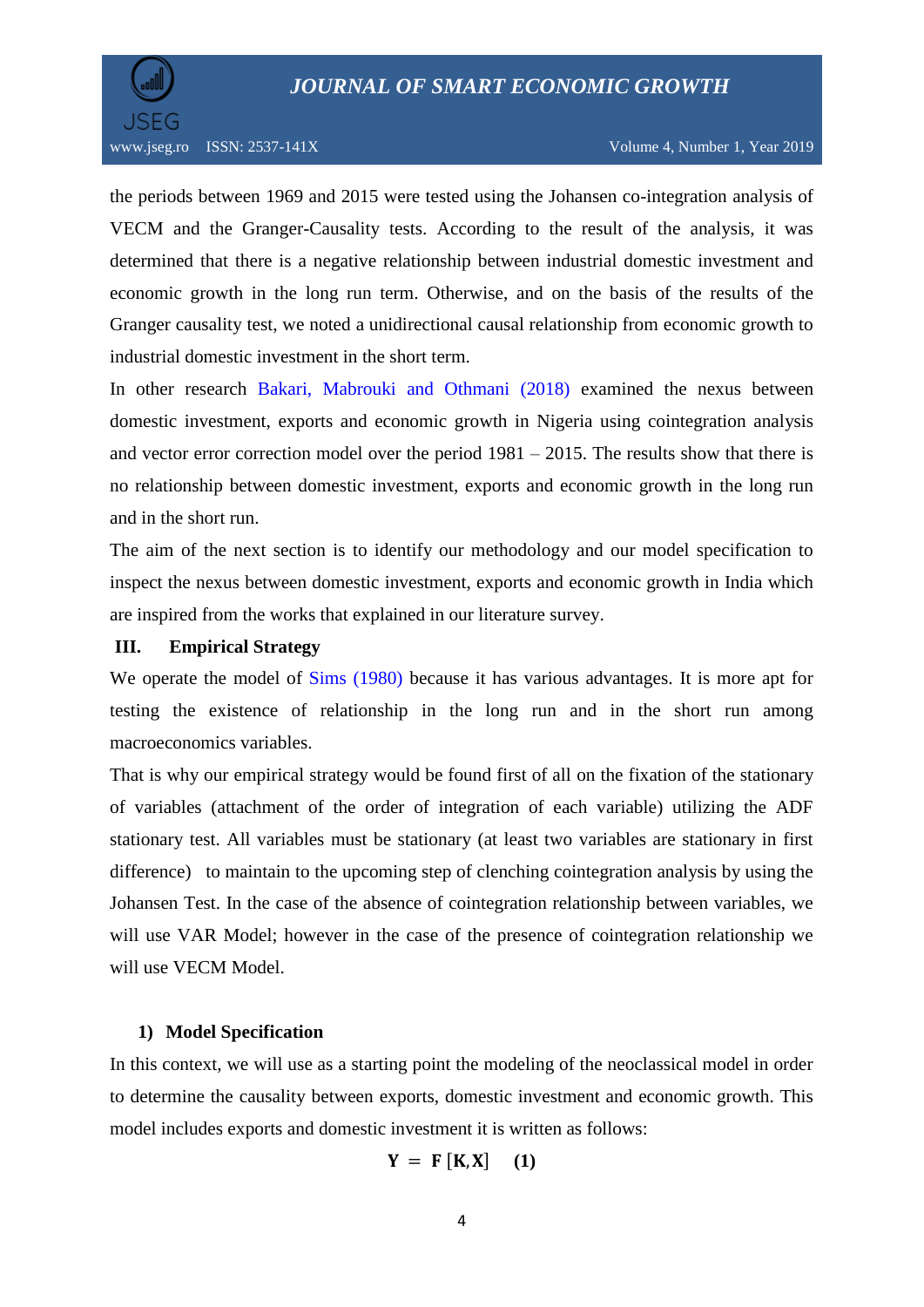

the periods between 1969 and 2015 were tested using the Johansen co-integration analysis of VECM and the Granger-Causality tests. According to the result of the analysis, it was determined that there is a negative relationship between industrial domestic investment and economic growth in the long run term. Otherwise, and on the basis of the results of the Granger causality test, we noted a unidirectional causal relationship from economic growth to industrial domestic investment in the short term.

In other research Bakari, Mabrouki and Othmani (2018) examined the nexus between domestic investment, exports and economic growth in Nigeria using cointegration analysis and vector error correction model over the period  $1981 - 2015$ . The results show that there is no relationship between domestic investment, exports and economic growth in the long run and in the short run.

The aim of the next section is to identify our methodology and our model specification to inspect the nexus between domestic investment, exports and economic growth in India which are inspired from the works that explained in our literature survey.

### **III. Empirical Strategy**

We operate the model of Sims (1980) because it has various advantages. It is more apt for testing the existence of relationship in the long run and in the short run among macroeconomics variables.

That is why our empirical strategy would be found first of all on the fixation of the stationary of variables (attachment of the order of integration of each variable) utilizing the ADF stationary test. All variables must be stationary (at least two variables are stationary in first difference) to maintain to the upcoming step of clenching cointegration analysis by using the Johansen Test. In the case of the absence of cointegration relationship between variables, we will use VAR Model; however in the case of the presence of cointegration relationship we will use VECM Model.

#### **1) Model Specification**

In this context, we will use as a starting point the modeling of the neoclassical model in order to determine the causality between exports, domestic investment and economic growth. This model includes exports and domestic investment it is written as follows:

$$
Y = F [K, X] \quad (1)
$$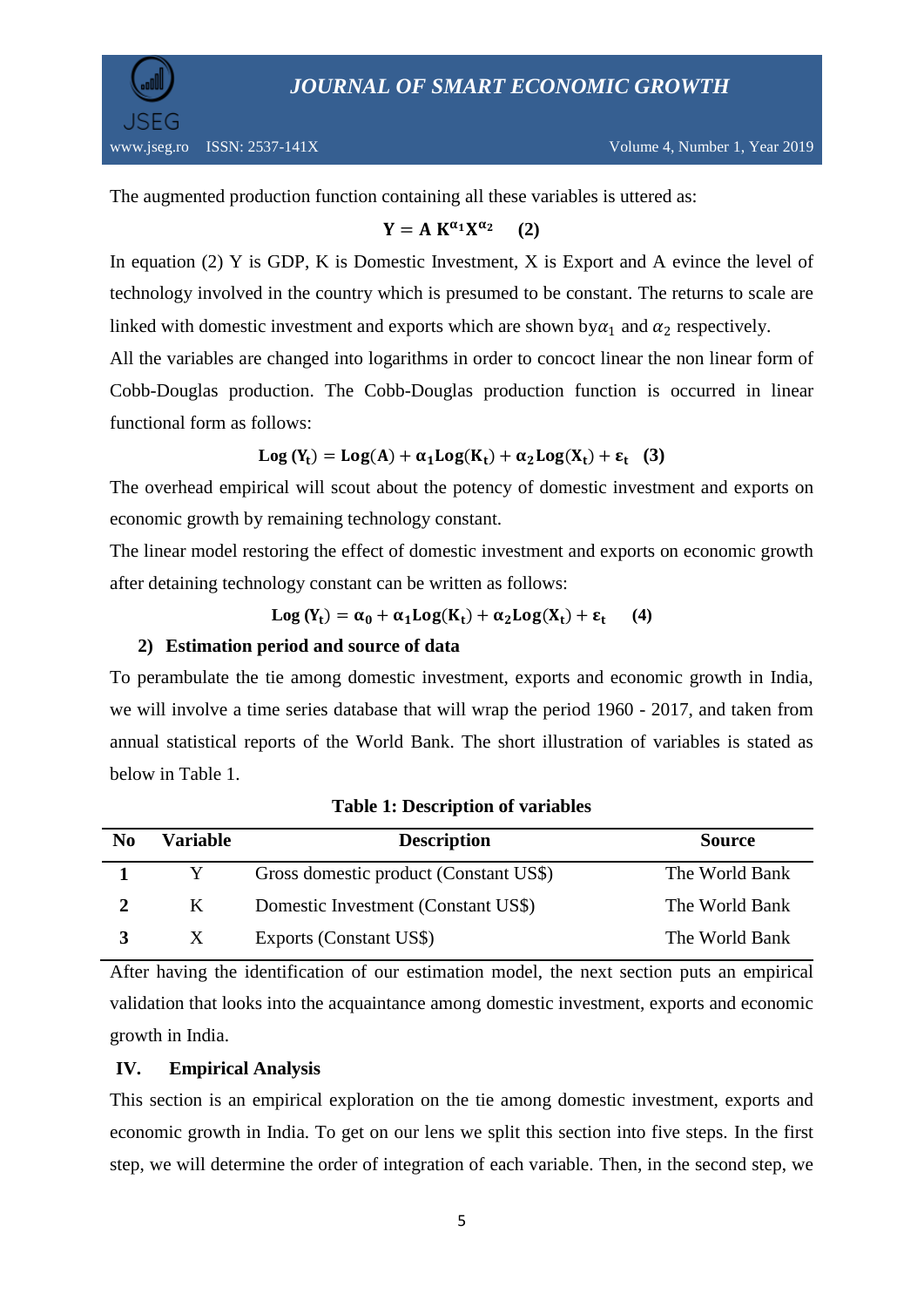

The augmented production function containing all these variables is uttered as:

$$
Y = A K^{\alpha_1} X^{\alpha_2} \qquad (2)
$$

In equation (2) Y is GDP, K is Domestic Investment, X is Export and A evince the level of technology involved in the country which is presumed to be constant. The returns to scale are linked with domestic investment and exports which are shown by  $\alpha_1$  and  $\alpha_2$  respectively.

All the variables are changed into logarithms in order to concoct linear the non linear form of Cobb-Douglas production. The Cobb-Douglas production function is occurred in linear functional form as follows:

$$
Log(Y_t) = Log(A) + \alpha_1 Log(K_t) + \alpha_2 Log(X_t) + \epsilon_t
$$
 (3)

The overhead empirical will scout about the potency of domestic investment and exports on economic growth by remaining technology constant.

The linear model restoring the effect of domestic investment and exports on economic growth after detaining technology constant can be written as follows:

$$
Log(Y_t) = \alpha_0 + \alpha_1 Log(K_t) + \alpha_2 Log(X_t) + \epsilon_t \qquad (4)
$$

# **2) Estimation period and source of data**

To perambulate the tie among domestic investment, exports and economic growth in India, we will involve a time series database that will wrap the period 1960 - 2017, and taken from annual statistical reports of the World Bank. The short illustration of variables is stated as below in Table 1.

| N <sub>0</sub> | <b>Variable</b> | <b>Description</b>                     | <b>Source</b>  |
|----------------|-----------------|----------------------------------------|----------------|
|                |                 | Gross domestic product (Constant US\$) | The World Bank |
|                | K               | Domestic Investment (Constant US\$)    | The World Bank |
|                | X               | Exports (Constant US\$)                | The World Bank |

**Table 1: Description of variables**

After having the identification of our estimation model, the next section puts an empirical validation that looks into the acquaintance among domestic investment, exports and economic growth in India.

# **IV. Empirical Analysis**

This section is an empirical exploration on the tie among domestic investment, exports and economic growth in India. To get on our lens we split this section into five steps. In the first step, we will determine the order of integration of each variable. Then, in the second step, we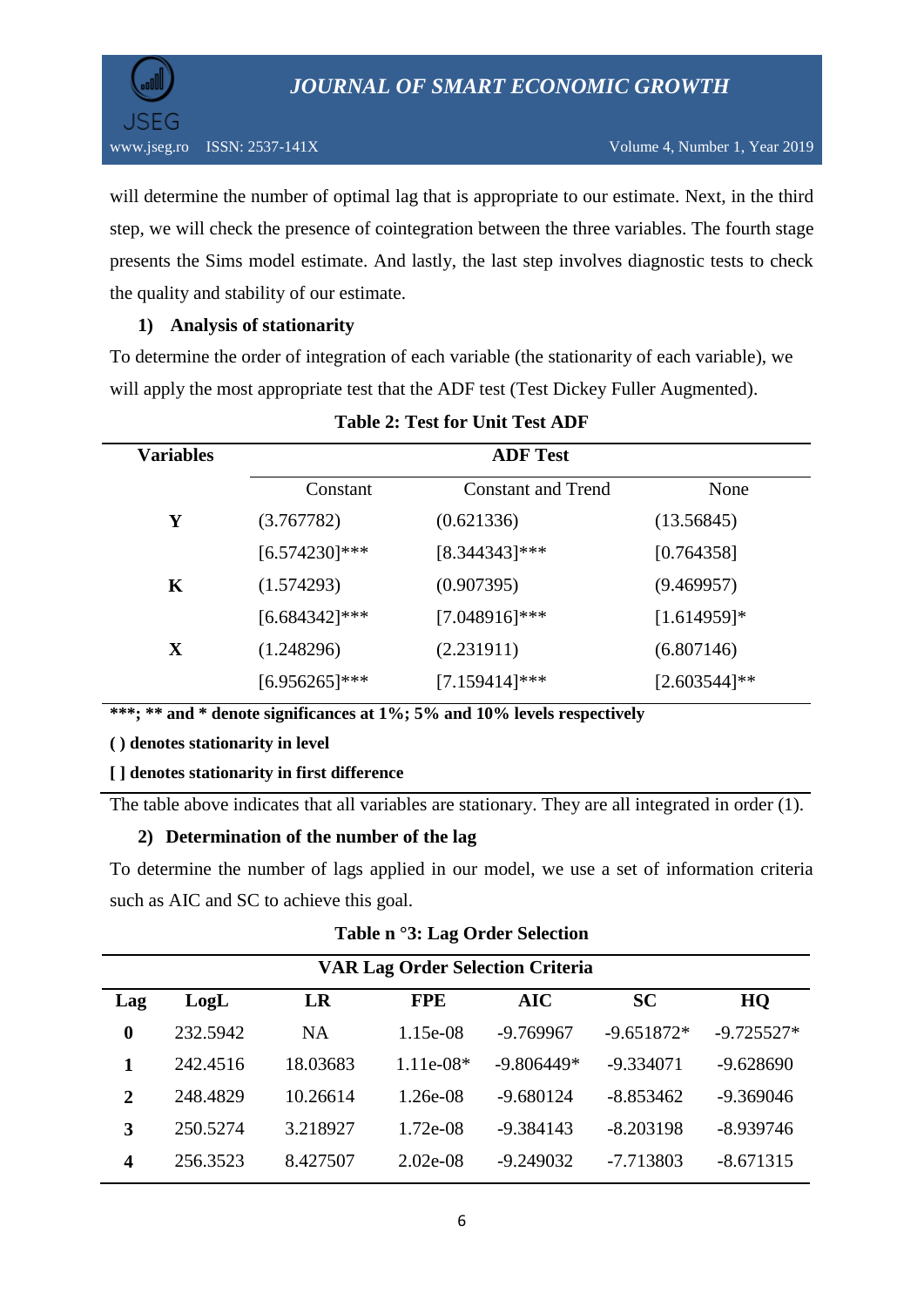

will determine the number of optimal lag that is appropriate to our estimate. Next, in the third step, we will check the presence of cointegration between the three variables. The fourth stage presents the Sims model estimate. And lastly, the last step involves diagnostic tests to check the quality and stability of our estimate.

# **1) Analysis of stationarity**

To determine the order of integration of each variable (the stationarity of each variable), we will apply the most appropriate test that the ADF test (Test Dickey Fuller Augmented).

| <b>Variables</b> | <b>ADF</b> Test  |                           |                 |  |  |
|------------------|------------------|---------------------------|-----------------|--|--|
|                  | Constant         | <b>Constant and Trend</b> | None            |  |  |
| Y                | (3.767782)       | (0.621336)                | (13.56845)      |  |  |
|                  | $[6.574230]$ *** | $[8.344343]$ ***          | [0.764358]      |  |  |
| K                | (1.574293)       | (0.907395)                | (9.469957)      |  |  |
|                  | $[6.684342]$ *** | $[7.048916]$ ***          | $[1.614959]*$   |  |  |
| X                | (1.248296)       | (2.231911)                | (6.807146)      |  |  |
|                  | $[6.956265]$ *** | $[7.159414]$ ***          | $[2.603544]$ ** |  |  |

# **Table 2: Test for Unit Test ADF**

**\*\*\*; \*\* and \* denote significances at 1%; 5% and 10% levels respectively**

#### **( ) denotes stationarity in level**

# **[ ] denotes stationarity in first difference**

The table above indicates that all variables are stationary. They are all integrated in order (1).

# **2) Determination of the number of the lag**

To determine the number of lags applied in our model, we use a set of information criteria such as AIC and SC to achieve this goal.

| <b>VAR Lag Order Selection Criteria</b> |          |          |             |              |              |              |
|-----------------------------------------|----------|----------|-------------|--------------|--------------|--------------|
| Lag                                     | LogL     | LR       | <b>FPE</b>  | AIC          | <b>SC</b>    | HQ           |
| $\bf{0}$                                | 232.5942 | NA.      | 1.15e-08    | $-9.769967$  | $-9.651872*$ | $-9.725527*$ |
|                                         | 242.4516 | 18.03683 | $1.11e-08*$ | $-9.806449*$ | $-9.334071$  | $-9.628690$  |
| $\overline{2}$                          | 248.4829 | 10.26614 | 1.26e-08    | $-9.680124$  | $-8.853462$  | $-9.369046$  |
| 3                                       | 250.5274 | 3.218927 | $1.72e-08$  | $-9.384143$  | $-8.203198$  | $-8.939746$  |
| 4                                       | 256.3523 | 8.427507 | $2.02e-08$  | $-9.249032$  | $-7.713803$  | $-8.671315$  |

**Table n °3: Lag Order Selection**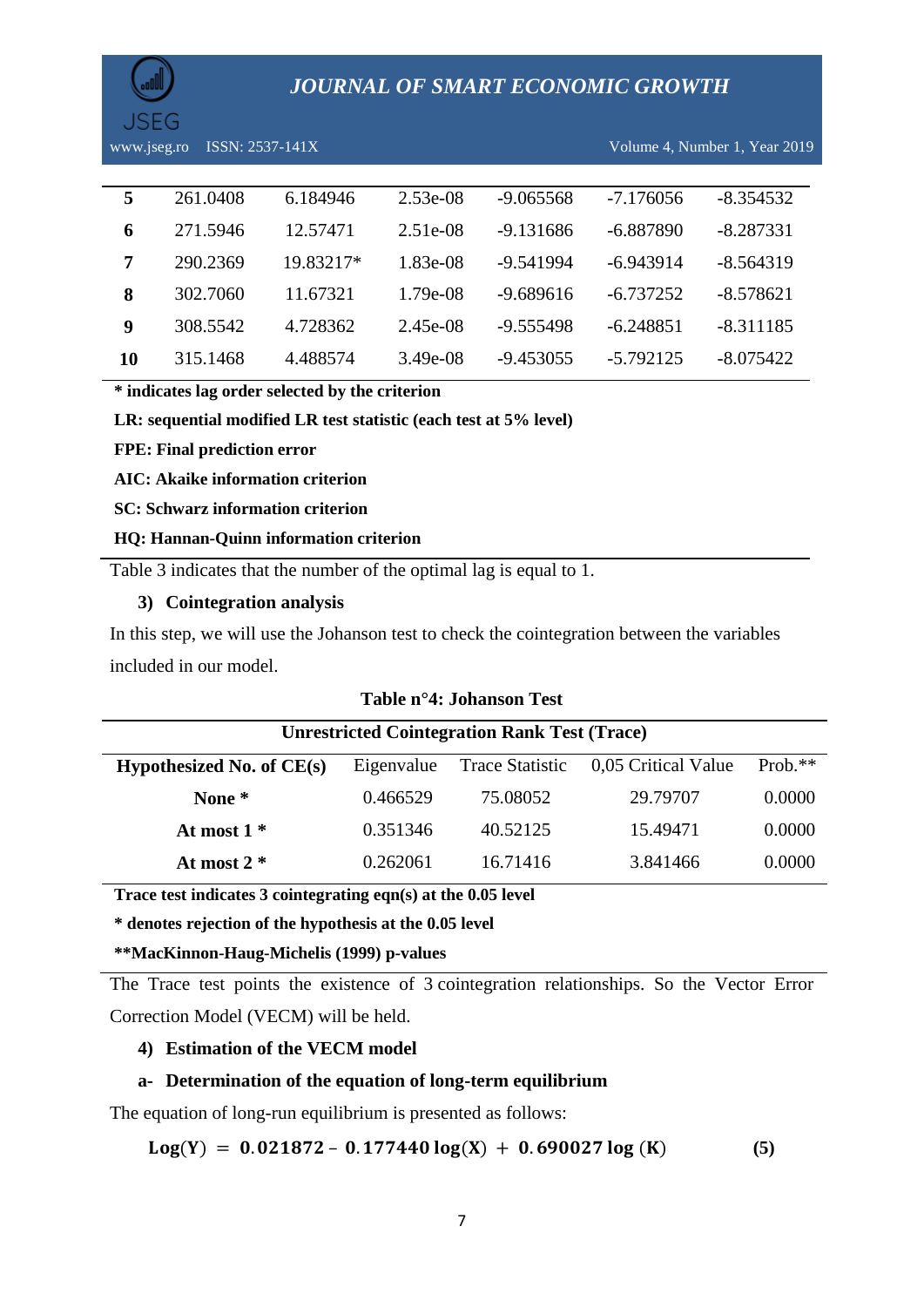

www.jseg.ro ISSN: 2537-141X Volume 4, Number 1, Year 2019

| 5  | 261.0408 | 6.184946  | $2.53e-08$ | $-9.065568$ | $-7.176056$ | $-8.354532$ |
|----|----------|-----------|------------|-------------|-------------|-------------|
| 6  | 271.5946 | 12.57471  | $2.51e-08$ | -9.131686   | -6.887890   | $-8.287331$ |
| 7  | 290.2369 | 19.83217* | 1.83e-08   | -9.541994   | $-6.943914$ | $-8.564319$ |
| 8  | 302.7060 | 11.67321  | 1.79e-08   | $-9.689616$ | -6.737252   | $-8.578621$ |
| 9  | 308.5542 | 4.728362  | 2.45e-08   | -9.555498   | $-6.248851$ | $-8.311185$ |
| 10 | 315.1468 | 4.488574  | $3.49e-08$ | -9.453055   | $-5.792125$ | $-8.075422$ |

**\* indicates lag order selected by the criterion**

**LR: sequential modified LR test statistic (each test at 5% level)**

**FPE: Final prediction error**

**AIC: Akaike information criterion**

**SC: Schwarz information criterion**

#### **HQ: Hannan-Quinn information criterion**

Table 3 indicates that the number of the optimal lag is equal to 1.

## **3) Cointegration analysis**

In this step, we will use the Johanson test to check the cointegration between the variables included in our model.

|                             | <b>Unrestricted Cointegration Rank Test (Trace)</b> |                        |                     |           |  |
|-----------------------------|-----------------------------------------------------|------------------------|---------------------|-----------|--|
| Hypothesized No. of $CE(s)$ | Eigenvalue                                          | <b>Trace Statistic</b> | 0,05 Critical Value | $Prob.**$ |  |
| None *                      | 0.466529                                            | 75.08052               | 29.79707            | 0.0000    |  |
| At most $1*$                | 0.351346                                            | 40.52125               | 15.49471            | 0.0000    |  |
| At most $2 *$               | 0.262061                                            | 16.71416               | 3.841466            | 0.0000    |  |

#### **Table n°4: Johanson Test**

**Trace test indicates 3 cointegrating eqn(s) at the 0.05 level**

**\* denotes rejection of the hypothesis at the 0.05 level**

#### **\*\*MacKinnon-Haug-Michelis (1999) p-values**

The Trace test points the existence of 3 cointegration relationships. So the Vector Error Correction Model (VECM) will be held.

### **4) Estimation of the VECM model**

# **a- Determination of the equation of long-term equilibrium**

The equation of long-run equilibrium is presented as follows:

 $Log(Y) = 0.021872 - 0.177440 log(X) + 0.690027 log(K)$  (5)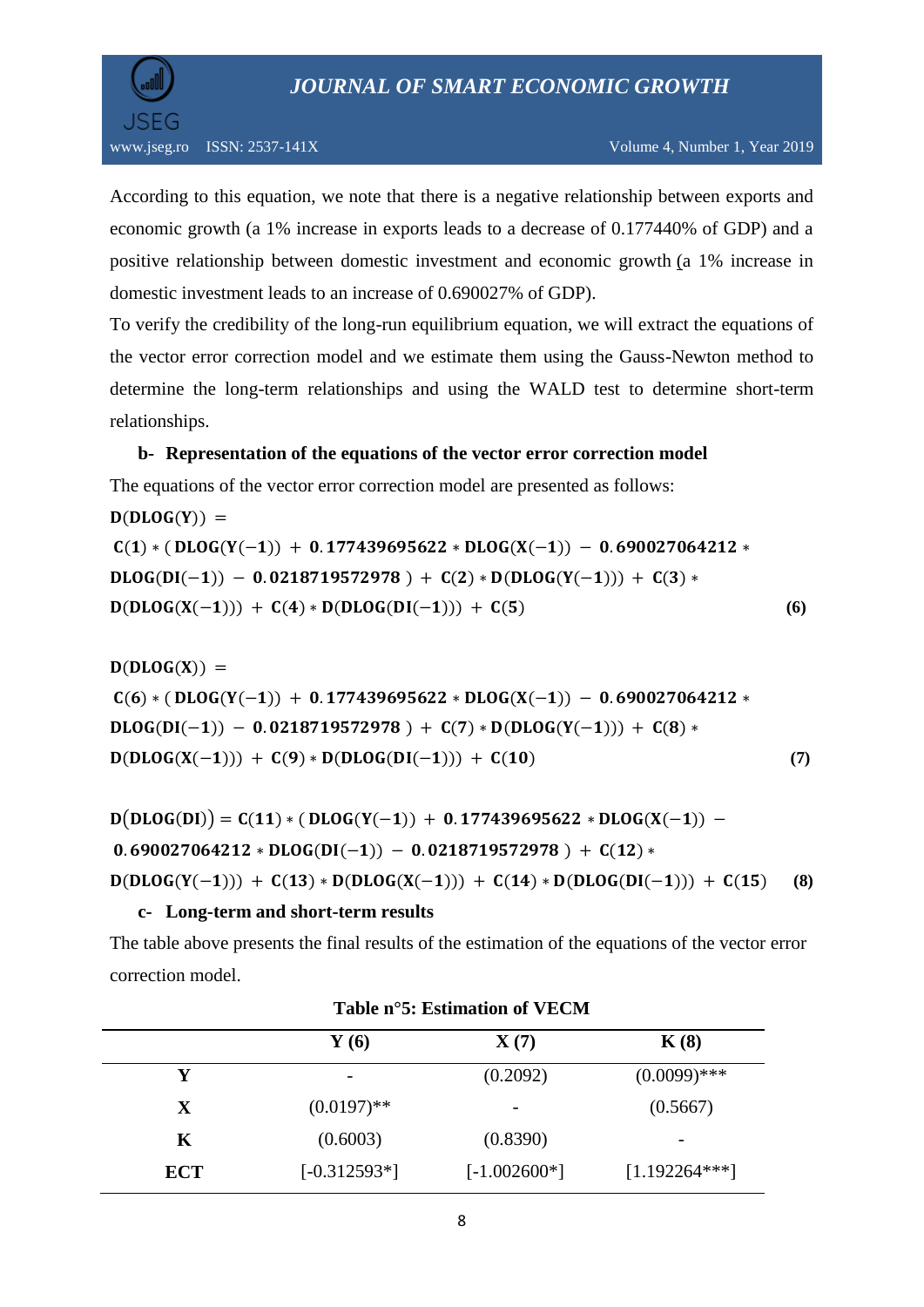

According to this equation, we note that there is a negative relationship between exports and economic growth (a 1% increase in exports leads to a decrease of 0.177440% of GDP) and a positive relationship between domestic investment and economic growth (a 1% increase in domestic investment leads to an increase of 0.690027% of GDP).

To verify the credibility of the long-run equilibrium equation, we will extract the equations of the vector error correction model and we estimate them using the Gauss-Newton method to determine the long-term relationships and using the WALD test to determine short-term relationships.

# **b- Representation of the equations of the vector error correction model**

The equations of the vector error correction model are presented as follows:

 $D(DLOG(Y)) =$  $C(1) * ( DLOG(Y(-1)) + 0.177439695622 * DLOG(X(-1)) - 0.690027064212 *$  $DLOG(DI(-1)) - 0.0218719572978 + C(2) * D(DLOG(Y(-1))) + C(3) *$  $D(DLOG(X(-1))) + C(4) * D(DLOG(DI(-1))) + C(5)$  (6)

 $D(DLOG(X)) =$  $C(6) * ( DLOG(Y(-1)) + 0.177439695622 * DLOG(X(-1)) - 0.690027064212 *$  $DLOG(DI(-1)) - 0.0218719572978 + C(7) * D(DLOG(Y(-1))) + C(8) *$  $D(DLOG(X(-1))) + C(9) * D(DLOG(DI(-1))) + C(10)$  (7)

```
D(DLOG(DI)) = C(11) * ( DLOG(Y(-1)) + 0.177439695622 * DLOG(X(-1)) -0.690027064212 * DLOG(DI(-1)) - 0.0218719572978 + C(12) *D(DLOG(Y(-1))) + C(13) * D(DLOG(X(-1))) + C(14) * D(DLOG(DI(-1))) + C(15) (8)
```
# **c- Long-term and short-term results**

The table above presents the final results of the estimation of the equations of the vector error correction model.

|             | $\mathbf{Y}$ (6) | $\mathbf{X}(7)$          | K(8)            |
|-------------|------------------|--------------------------|-----------------|
| Y           |                  | (0.2092)                 | $(0.0099)$ ***  |
| $\mathbf X$ | $(0.0197)$ **    | $\overline{\phantom{a}}$ | (0.5667)        |
| K           | (0.6003)         | (0.8390)                 | -               |
| <b>ECT</b>  | $[-0.312593*]$   | $[-1.002600*]$           | $[1.192264***]$ |

# **Table n°5: Estimation of VECM**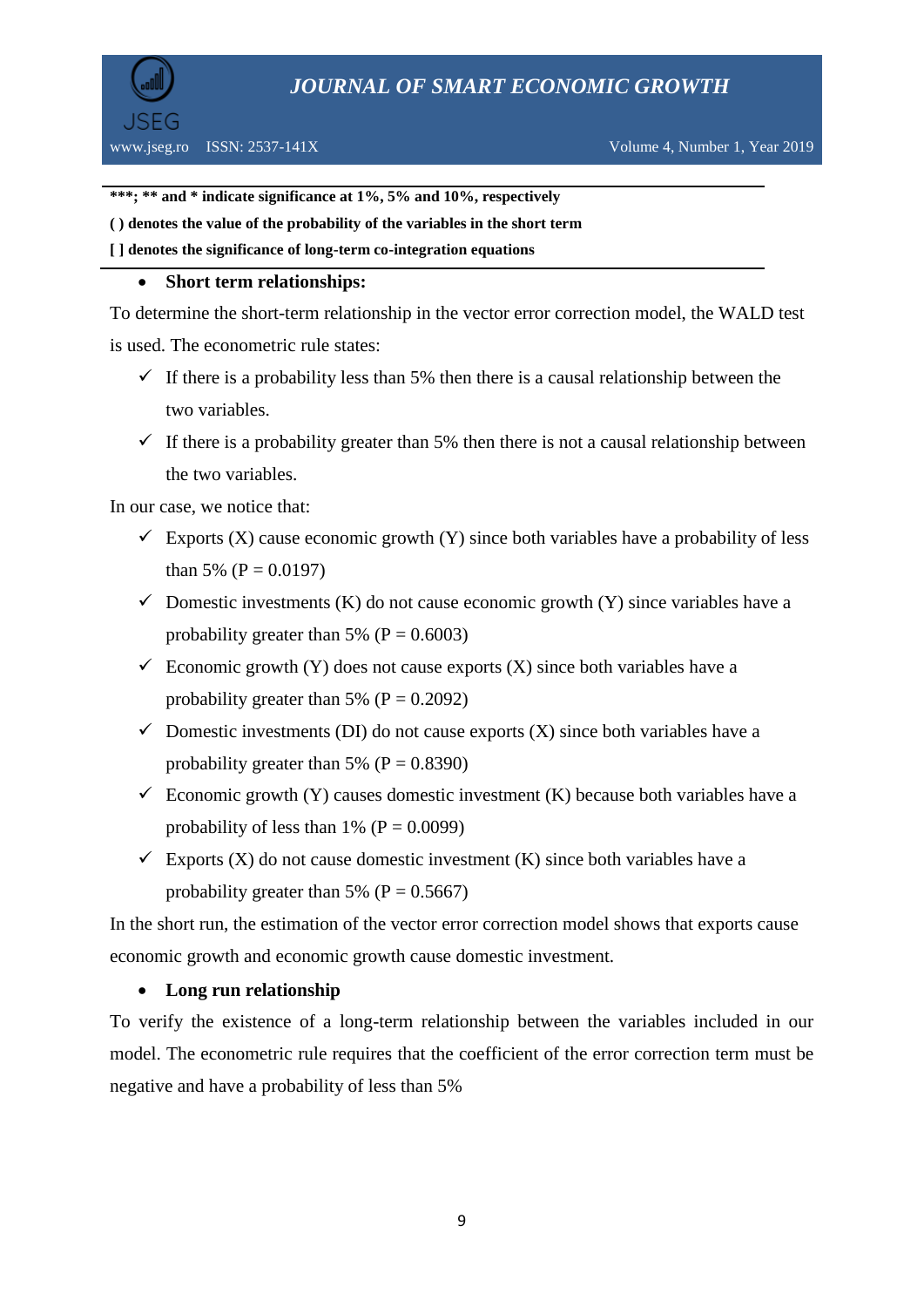



**\*\*\*; \*\* and \* indicate significance at 1%, 5% and 10%, respectively**

#### **( ) denotes the value of the probability of the variables in the short term**

**[ ] denotes the significance of long-term co-integration equations**

# **Short term relationships:**

To determine the short-term relationship in the vector error correction model, the WALD test is used. The econometric rule states:

- $\checkmark$  If there is a probability less than 5% then there is a causal relationship between the two variables.
- $\checkmark$  If there is a probability greater than 5% then there is not a causal relationship between the two variables.

In our case, we notice that:

- Exports (X) cause economic growth (Y) since both variables have a probability of less than 5% ( $P = 0.0197$ )
- $\checkmark$  Domestic investments (K) do not cause economic growth (Y) since variables have a probability greater than 5% ( $P = 0.6003$ )
- $\checkmark$  Economic growth (Y) does not cause exports (X) since both variables have a probability greater than 5% ( $P = 0.2092$ )
- $\checkmark$  Domestic investments (DI) do not cause exports (X) since both variables have a probability greater than 5% ( $P = 0.8390$ )
- $\checkmark$  Economic growth (Y) causes domestic investment (K) because both variables have a probability of less than 1% ( $P = 0.0099$ )
- $\checkmark$  Exports (X) do not cause domestic investment (K) since both variables have a probability greater than 5% ( $P = 0.5667$ )

In the short run, the estimation of the vector error correction model shows that exports cause economic growth and economic growth cause domestic investment.

# **Long run relationship**

To verify the existence of a long-term relationship between the variables included in our model. The econometric rule requires that the coefficient of the error correction term must be negative and have a probability of less than 5%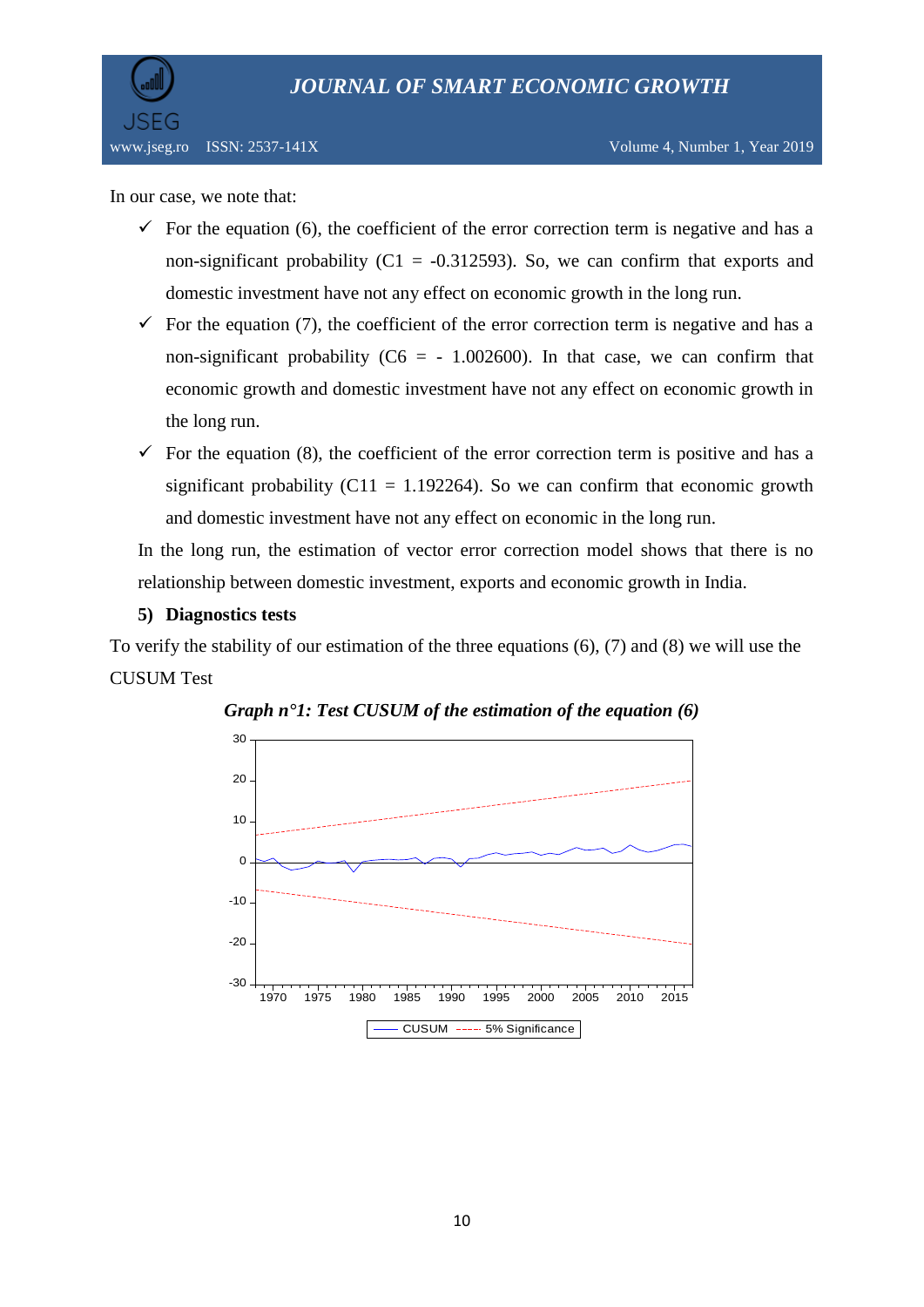

In our case, we note that:

- $\checkmark$  For the equation (6), the coefficient of the error correction term is negative and has a non-significant probability ( $C1 = -0.312593$ ). So, we can confirm that exports and domestic investment have not any effect on economic growth in the long run.
- $\checkmark$  For the equation (7), the coefficient of the error correction term is negative and has a non-significant probability ( $C6 = -1.002600$ ). In that case, we can confirm that economic growth and domestic investment have not any effect on economic growth in the long run.
- $\checkmark$  For the equation (8), the coefficient of the error correction term is positive and has a significant probability (C11 = 1.192264). So we can confirm that economic growth and domestic investment have not any effect on economic in the long run.

In the long run, the estimation of vector error correction model shows that there is no relationship between domestic investment, exports and economic growth in India.

#### **5) Diagnostics tests**

To verify the stability of our estimation of the three equations (6), (7) and (8) we will use the CUSUM Test



*Graph n°1: Test CUSUM of the estimation of the equation (6)*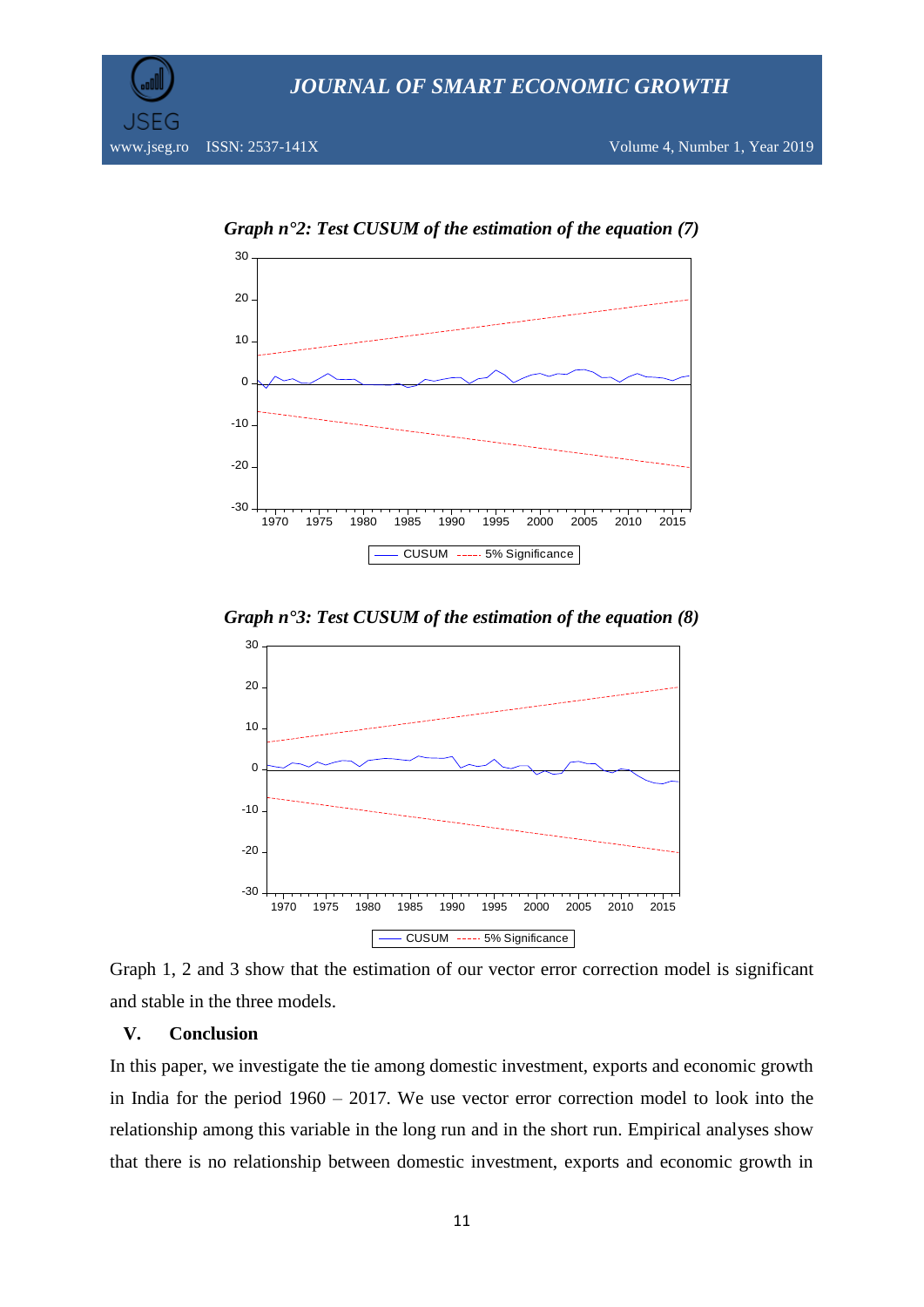



*Graph n°2: Test CUSUM of the estimation of the equation (7)*

*Graph n°3: Test CUSUM of the estimation of the equation (8)*



Graph 1, 2 and 3 show that the estimation of our vector error correction model is significant and stable in the three models.

#### **V. Conclusion**

In this paper, we investigate the tie among domestic investment, exports and economic growth in India for the period 1960 – 2017. We use vector error correction model to look into the relationship among this variable in the long run and in the short run. Empirical analyses show that there is no relationship between domestic investment, exports and economic growth in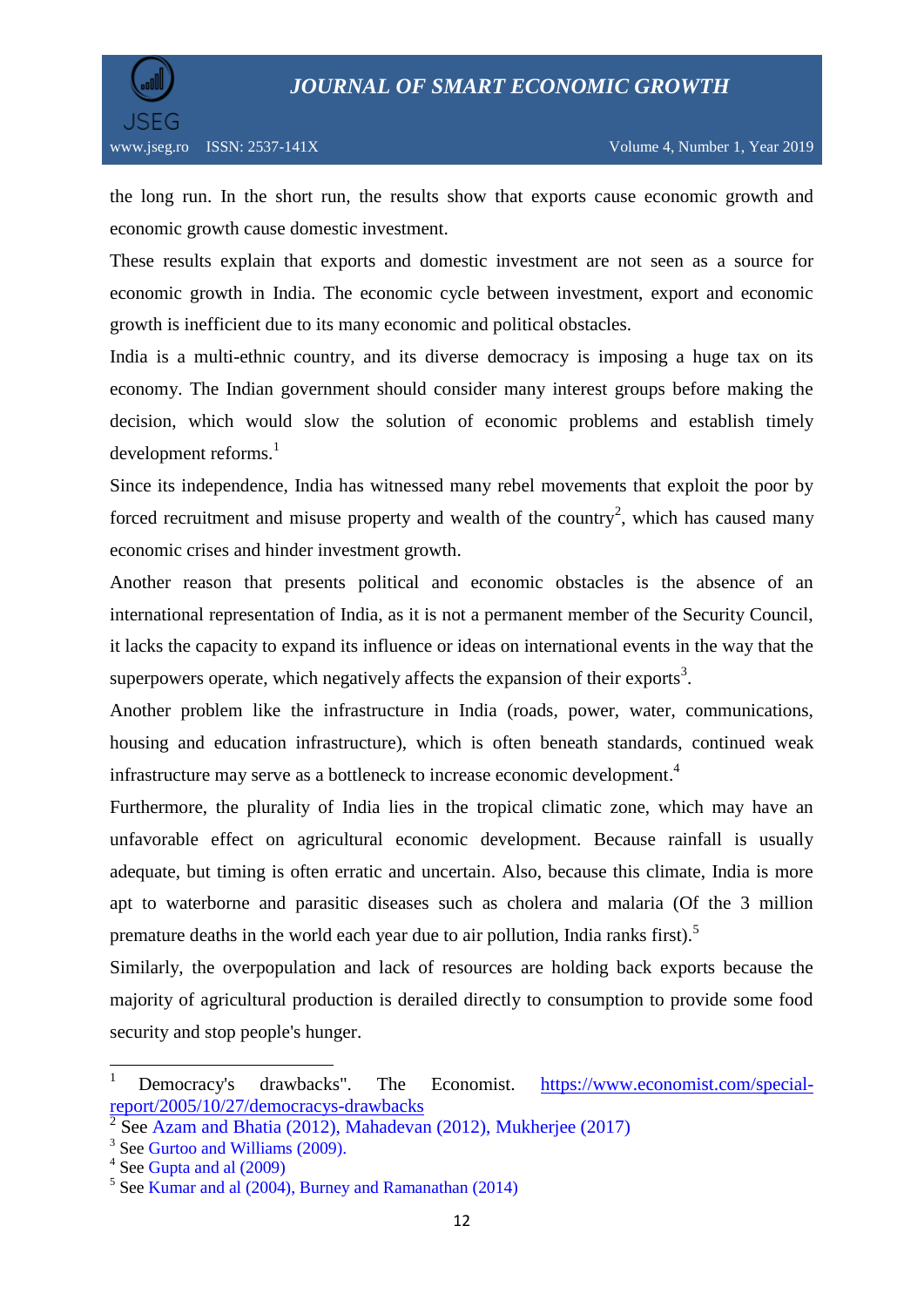

the long run. In the short run, the results show that exports cause economic growth and economic growth cause domestic investment.

These results explain that exports and domestic investment are not seen as a source for economic growth in India. The economic cycle between investment, export and economic growth is inefficient due to its many economic and political obstacles.

India is a multi-ethnic country, and its diverse democracy is imposing a huge tax on its economy. The Indian government should consider many interest groups before making the decision, which would slow the solution of economic problems and establish timely  $development$  reforms.<sup>1</sup>

Since its independence, India has witnessed many rebel movements that exploit the poor by forced recruitment and misuse property and wealth of the country<sup>2</sup>, which has caused many economic crises and hinder investment growth.

Another reason that presents political and economic obstacles is the absence of an international representation of India, as it is not a permanent member of the Security Council, it lacks the capacity to expand its influence or ideas on international events in the way that the superpowers operate, which negatively affects the expansion of their exports<sup>3</sup>.

Another problem like the infrastructure in India (roads, power, water, communications, housing and education infrastructure), which is often beneath standards, continued weak infrastructure may serve as a bottleneck to increase economic development. 4

Furthermore, the plurality of India lies in the tropical climatic zone, which may have an unfavorable effect on agricultural economic development. Because rainfall is usually adequate, but timing is often erratic and uncertain. Also, because this climate, India is more apt to waterborne and parasitic diseases such as cholera and malaria (Of the 3 million premature deaths in the world each year due to air pollution, India ranks first).<sup>5</sup>

Similarly, the overpopulation and lack of resources are holding back exports because the majority of agricultural production is derailed directly to consumption to provide some food security and stop people's hunger.

**.** 

<sup>1</sup> Democracy's drawbacks". The Economist. [https://www.economist.com/special](https://www.economist.com/special-report/2005/10/27/democracys-drawbacks)[report/2005/10/27/democracys-drawbacks](https://www.economist.com/special-report/2005/10/27/democracys-drawbacks)

 $\overline{2}$ See Azam and Bhatia (2012), Mahadevan (2012), Mukherjee (2017)

<sup>&</sup>lt;sup>3</sup> See Gurtoo and Williams (2009).

<sup>&</sup>lt;sup>4</sup> See Gupta and al (2009)

<sup>5</sup> See Kumar and al (2004), Burney and Ramanathan (2014)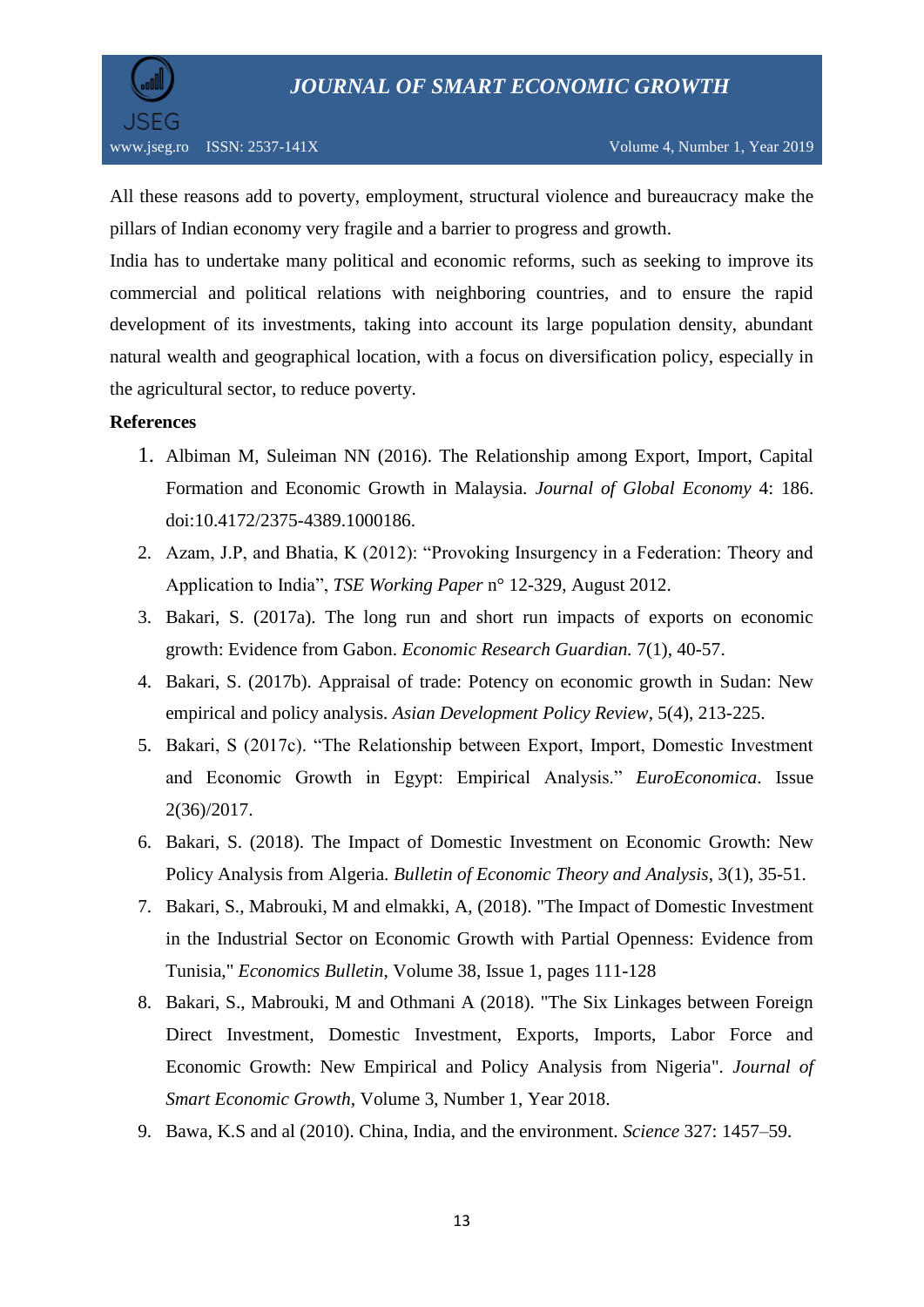

All these reasons add to poverty, employment, structural violence and bureaucracy make the pillars of Indian economy very fragile and a barrier to progress and growth.

India has to undertake many political and economic reforms, such as seeking to improve its commercial and political relations with neighboring countries, and to ensure the rapid development of its investments, taking into account its large population density, abundant natural wealth and geographical location, with a focus on diversification policy, especially in the agricultural sector, to reduce poverty.

# **References**

- 1. Albiman M, Suleiman NN (2016). The Relationship among Export, Import, Capital Formation and Economic Growth in Malaysia. *Journal of Global Economy* 4: 186. doi:10.4172/2375-4389.1000186.
- 2. Azam, J.P, and Bhatia, K (2012): "Provoking Insurgency in a Federation: Theory and Application to India", *TSE Working Paper* n° 12-329, August 2012.
- 3. Bakari, S. (2017a). The long run and short run impacts of exports on economic growth: Evidence from Gabon. *Economic Research Guardian.* 7(1), 40-57.
- 4. Bakari, S. (2017b). Appraisal of trade: Potency on economic growth in Sudan: New empirical and policy analysis. *Asian Development Policy Review*, 5(4), 213-225.
- 5. Bakari, S (2017c). "The Relationship between Export, Import, Domestic Investment and Economic Growth in Egypt: Empirical Analysis." *EuroEconomica*. Issue 2(36)/2017.
- 6. Bakari, S. (2018). The Impact of Domestic Investment on Economic Growth: New Policy Analysis from Algeria. *Bulletin of Economic Theory and Analysis*, 3(1), 35-51.
- 7. Bakari, S., Mabrouki, M and elmakki, A, (2018). "The Impact of Domestic Investment in the Industrial Sector on Economic Growth with Partial Openness: Evidence from Tunisia," *Economics Bulletin*, Volume 38, Issue 1, pages 111-128
- 8. Bakari, S., Mabrouki, M and Othmani A (2018). "The Six Linkages between Foreign Direct Investment, Domestic Investment, Exports, Imports, Labor Force and Economic Growth: New Empirical and Policy Analysis from Nigeria". *Journal of Smart Economic Growth,* Volume 3, Number 1, Year 2018.
- 9. Bawa, K.S and al (2010). China, India, and the environment. *Science* 327: 1457–59.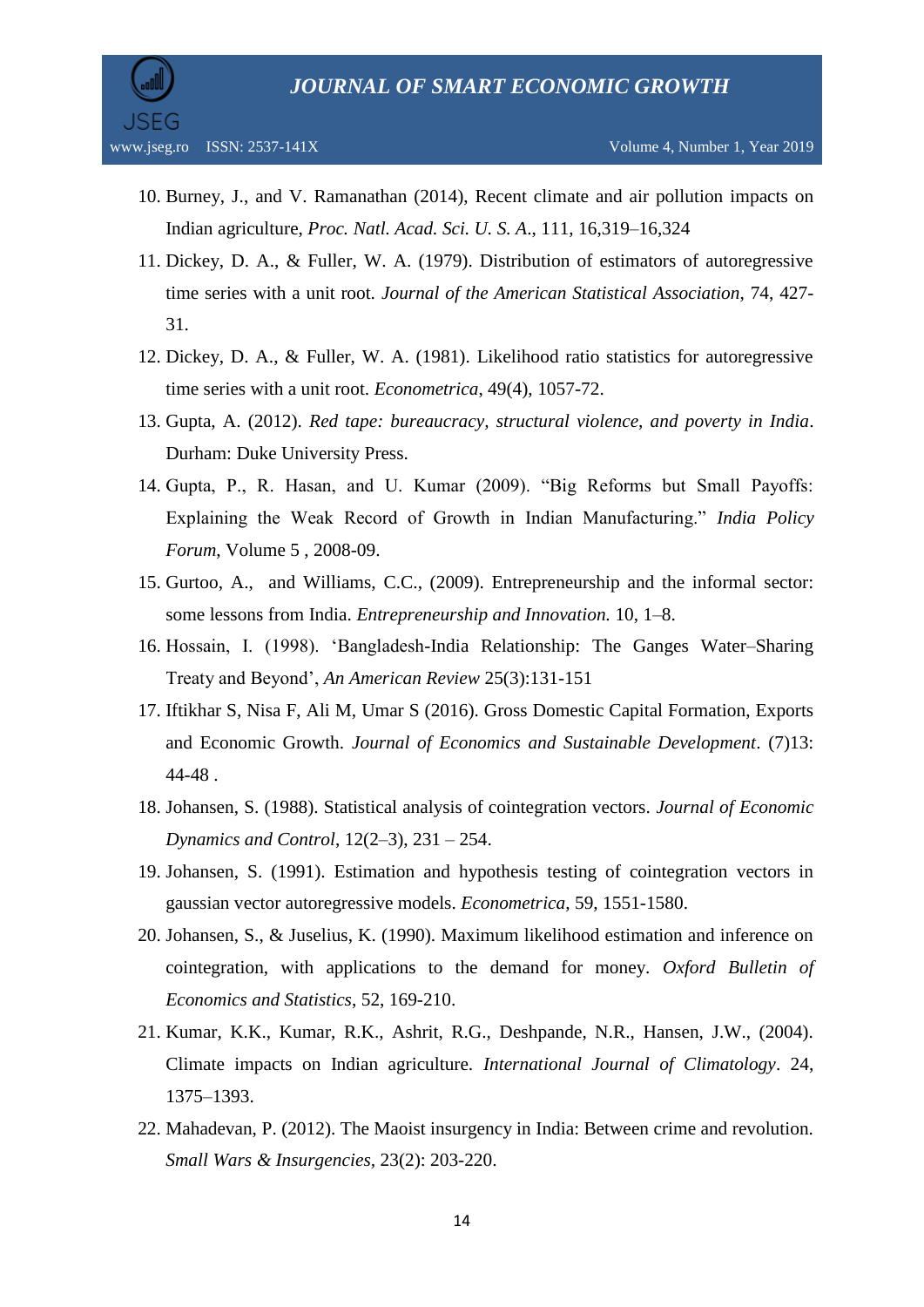

- 10. Burney, J., and V. Ramanathan (2014), Recent climate and air pollution impacts on Indian agriculture, *Proc. Natl. Acad. Sci. U. S. A*., 111, 16,319–16,324
- 11. Dickey, D. A., & Fuller, W. A. (1979). Distribution of estimators of autoregressive time series with a unit root. *Journal of the American Statistical Association*, 74, 427- 31.
- 12. Dickey, D. A., & Fuller, W. A. (1981). Likelihood ratio statistics for autoregressive time series with a unit root. *Econometrica*, 49(4), 1057-72.
- 13. Gupta, A. (2012). *Red tape: bureaucracy, structural violence, and poverty in India*. Durham: Duke University Press.
- 14. Gupta, P., R. Hasan, and U. Kumar (2009). "Big Reforms but Small Payoffs: Explaining the Weak Record of Growth in Indian Manufacturing." *India Policy Forum*, Volume 5 , 2008-09.
- 15. Gurtoo, A., and Williams, C.C., (2009). Entrepreneurship and the informal sector: some lessons from India. *Entrepreneurship and Innovation.* 10, 1–8.
- 16. Hossain, I. (1998). "Bangladesh-India Relationship: The Ganges Water–Sharing Treaty and Beyond", *An American Review* 25(3):131-151
- 17. Iftikhar S, Nisa F, Ali M, Umar S (2016). Gross Domestic Capital Formation, Exports and Economic Growth. *Journal of Economics and Sustainable Development*. (7)13: 44-48 .
- 18. Johansen, S. (1988). Statistical analysis of cointegration vectors. *Journal of Economic Dynamics and Control*, 12(2–3), 231 – 254.
- 19. Johansen, S. (1991). Estimation and hypothesis testing of cointegration vectors in gaussian vector autoregressive models. *Econometrica*, 59, 1551-1580.
- 20. Johansen, S., & Juselius, K. (1990). Maximum likelihood estimation and inference on cointegration, with applications to the demand for money. *Oxford Bulletin of Economics and Statistics*, 52, 169-210.
- 21. Kumar, K.K., Kumar, R.K., Ashrit, R.G., Deshpande, N.R., Hansen, J.W., (2004). Climate impacts on Indian agriculture. *International Journal of Climatology*. 24, 1375–1393.
- 22. Mahadevan, P. (2012). The Maoist insurgency in India: Between crime and revolution. *Small Wars & Insurgencies,* 23(2): 203-220.